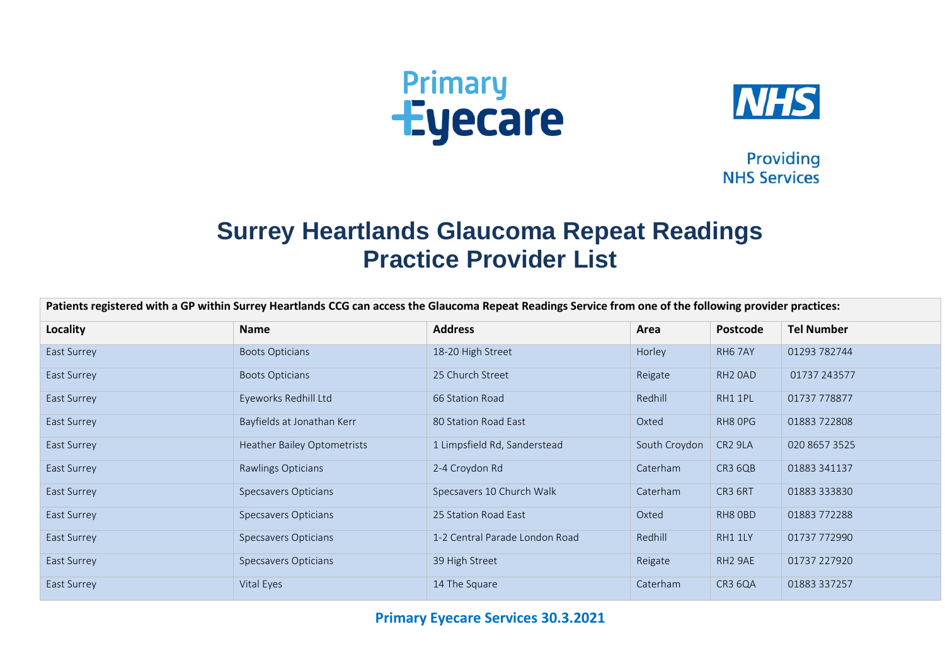



Providing **NHS Services** 

## **Surrey Heartlands Glaucoma Repeat Readings Practice Provider List**

| Patients registered with a GP within Surrey Heartlands CCG can access the Glaucoma Repeat Readings Service from one of the following provider practices: |                                    |                                |               |                     |                   |  |
|----------------------------------------------------------------------------------------------------------------------------------------------------------|------------------------------------|--------------------------------|---------------|---------------------|-------------------|--|
| Locality                                                                                                                                                 | <b>Name</b>                        | <b>Address</b>                 | Area          | Postcode            | <b>Tel Number</b> |  |
| East Surrey                                                                                                                                              | <b>Boots Opticians</b>             | 18-20 High Street              | Horley        | RH6 7AY             | 01293 782744      |  |
| East Surrey                                                                                                                                              | <b>Boots Opticians</b>             | 25 Church Street               | Reigate       | RH <sub>2</sub> OAD | 01737 243577      |  |
| East Surrey                                                                                                                                              | Eyeworks Redhill Ltd               | 66 Station Road                | Redhill       | RH1 1PL             | 01737 778877      |  |
| East Surrey                                                                                                                                              | Bayfields at Jonathan Kerr         | 80 Station Road East           | Oxted         | RH8 OPG             | 01883 722808      |  |
| East Surrey                                                                                                                                              | <b>Heather Bailey Optometrists</b> | 1 Limpsfield Rd, Sanderstead   | South Croydon | CR <sub>2</sub> 9LA | 020 8657 3525     |  |
| East Surrey                                                                                                                                              | Rawlings Opticians                 | 2-4 Croydon Rd                 | Caterham      | CR3 6QB             | 01883 341137      |  |
| East Surrey                                                                                                                                              | Specsavers Opticians               | Specsavers 10 Church Walk      | Caterham      | CR3 6RT             | 01883 333830      |  |
| East Surrey                                                                                                                                              | Specsavers Opticians               | 25 Station Road East           | Oxted         | RH8 OBD             | 01883 772288      |  |
| East Surrey                                                                                                                                              | Specsavers Opticians               | 1-2 Central Parade London Road | Redhill       | RH1 1LY             | 01737 772990      |  |
| East Surrey                                                                                                                                              | Specsavers Opticians               | 39 High Street                 | Reigate       | RH <sub>2</sub> 9AE | 01737 227920      |  |
| East Surrey                                                                                                                                              | Vital Eyes                         | 14 The Square                  | Caterham      | CR3 6QA             | 01883 337257      |  |

**Primary Eyecare Services 30.3.2021**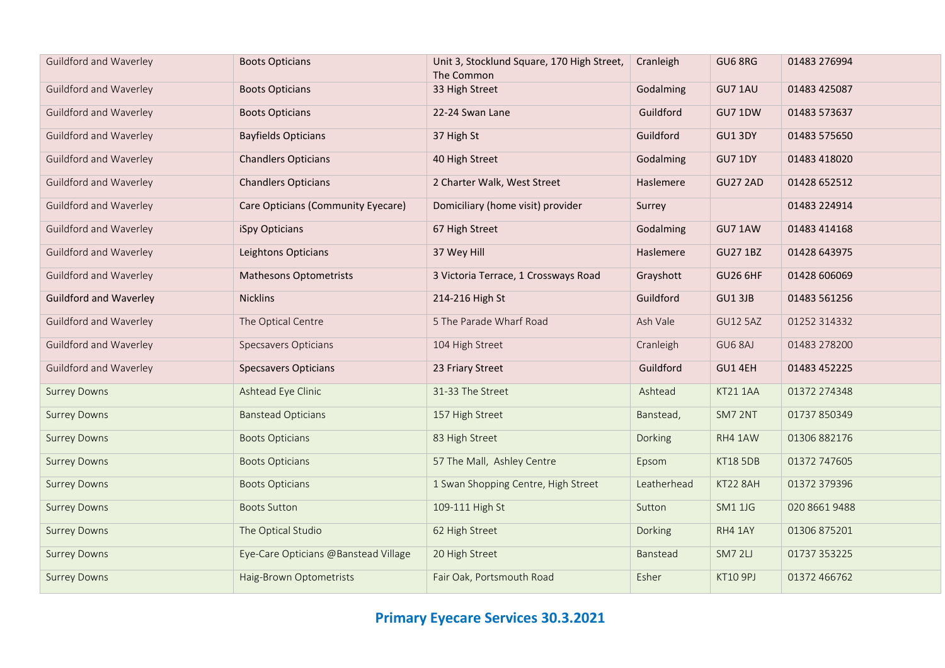| Guildford and Waverley        | <b>Boots Opticians</b>               | Unit 3, Stocklund Square, 170 High Street,<br>The Common | Cranleigh   | GU6 8RG         | 01483 276994  |
|-------------------------------|--------------------------------------|----------------------------------------------------------|-------------|-----------------|---------------|
| <b>Guildford and Waverley</b> | <b>Boots Opticians</b>               | 33 High Street                                           | Godalming   | GU7 1AU         | 01483 425087  |
| Guildford and Waverley        | <b>Boots Opticians</b>               | 22-24 Swan Lane                                          | Guildford   | GU7 1DW         | 01483 573637  |
| <b>Guildford and Waverley</b> | <b>Bayfields Opticians</b>           | 37 High St                                               | Guildford   | GU1 3DY         | 01483 575650  |
| Guildford and Waverley        | <b>Chandlers Opticians</b>           | 40 High Street                                           | Godalming   | GU7 1DY         | 01483 418020  |
| Guildford and Waverley        | <b>Chandlers Opticians</b>           | 2 Charter Walk, West Street                              | Haslemere   | <b>GU27 2AD</b> | 01428 652512  |
| Guildford and Waverley        | Care Opticians (Community Eyecare)   | Domiciliary (home visit) provider                        | Surrey      |                 | 01483 224914  |
| <b>Guildford and Waverley</b> | iSpy Opticians                       | 67 High Street                                           | Godalming   | GU7 1AW         | 01483 414168  |
| <b>Guildford and Waverley</b> | Leightons Opticians                  | 37 Wey Hill                                              | Haslemere   | <b>GU27 1BZ</b> | 01428 643975  |
| Guildford and Waverley        | <b>Mathesons Optometrists</b>        | 3 Victoria Terrace, 1 Crossways Road                     | Grayshott   | <b>GU26 6HF</b> | 01428 606069  |
| <b>Guildford and Waverley</b> | <b>Nicklins</b>                      | 214-216 High St                                          | Guildford   | GU1 3JB         | 01483 561256  |
| Guildford and Waverley        | The Optical Centre                   | 5 The Parade Wharf Road                                  | Ash Vale    | <b>GU12 5AZ</b> | 01252 314332  |
| Guildford and Waverley        | <b>Specsavers Opticians</b>          | 104 High Street                                          | Cranleigh   | GU6 8AJ         | 01483 278200  |
| Guildford and Waverley        | <b>Specsavers Opticians</b>          | 23 Friary Street                                         | Guildford   | GU1 4EH         | 01483 452225  |
| <b>Surrey Downs</b>           | Ashtead Eye Clinic                   | 31-33 The Street                                         | Ashtead     | KT21 1AA        | 01372 274348  |
| <b>Surrey Downs</b>           | <b>Banstead Opticians</b>            | 157 High Street                                          | Banstead,   | SM7 2NT         | 01737 850349  |
| <b>Surrey Downs</b>           | <b>Boots Opticians</b>               | 83 High Street                                           | Dorking     | RH4 1AW         | 01306 882176  |
| <b>Surrey Downs</b>           | <b>Boots Opticians</b>               | 57 The Mall, Ashley Centre                               | Epsom       | <b>KT18 5DB</b> | 01372 747605  |
| <b>Surrey Downs</b>           | <b>Boots Opticians</b>               | 1 Swan Shopping Centre, High Street                      | Leatherhead | KT22 8AH        | 01372 379396  |
| <b>Surrey Downs</b>           | <b>Boots Sutton</b>                  | 109-111 High St                                          | Sutton      | <b>SM1 1JG</b>  | 020 8661 9488 |
| <b>Surrey Downs</b>           | The Optical Studio                   | 62 High Street                                           | Dorking     | RH4 1AY         | 01306 875201  |
| <b>Surrey Downs</b>           | Eye-Care Opticians @Banstead Village | 20 High Street                                           | Banstead    | SM7 2LJ         | 01737 353225  |
| <b>Surrey Downs</b>           | Haig-Brown Optometrists              | Fair Oak, Portsmouth Road                                | Esher       | KT10 9PJ        | 01372 466762  |

## **Primary Eyecare Services 30.3.2021**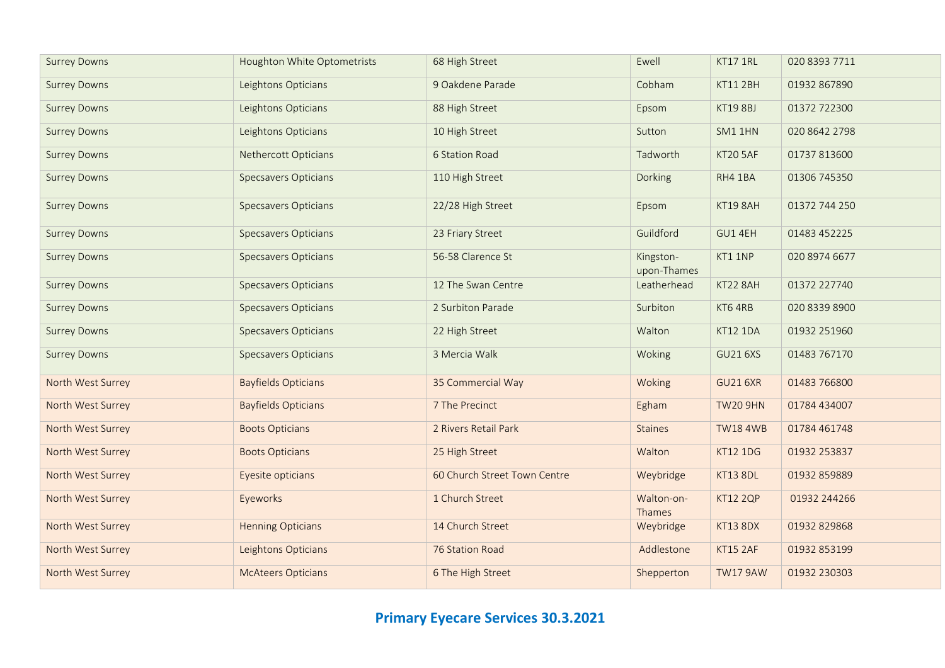| <b>Surrey Downs</b> | Houghton White Optometrists | 68 High Street               | Ewell                    | <b>KT17 1RL</b> | 020 8393 7711 |
|---------------------|-----------------------------|------------------------------|--------------------------|-----------------|---------------|
| <b>Surrey Downs</b> | Leightons Opticians         | 9 Oakdene Parade             | Cobham                   | <b>KT11 2BH</b> | 01932 867890  |
| <b>Surrey Downs</b> | Leightons Opticians         | 88 High Street               | Epsom                    | <b>KT19 8BJ</b> | 01372 722300  |
| <b>Surrey Downs</b> | Leightons Opticians         | 10 High Street               | Sutton                   | SM1 1HN         | 020 8642 2798 |
| <b>Surrey Downs</b> | Nethercott Opticians        | 6 Station Road               | Tadworth                 | <b>KT20 5AF</b> | 01737 813600  |
| <b>Surrey Downs</b> | <b>Specsavers Opticians</b> | 110 High Street              | Dorking                  | RH4 1BA         | 01306 745350  |
| <b>Surrey Downs</b> | <b>Specsavers Opticians</b> | 22/28 High Street            | Epsom                    | KT19 8AH        | 01372 744 250 |
| <b>Surrey Downs</b> | <b>Specsavers Opticians</b> | 23 Friary Street             | Guildford                | GU1 4EH         | 01483 452225  |
| <b>Surrey Downs</b> | <b>Specsavers Opticians</b> | 56-58 Clarence St            | Kingston-<br>upon-Thames | KT1 1NP         | 020 8974 6677 |
| <b>Surrey Downs</b> | <b>Specsavers Opticians</b> | 12 The Swan Centre           | Leatherhead              | KT22 8AH        | 01372 227740  |
| <b>Surrey Downs</b> | Specsavers Opticians        | 2 Surbiton Parade            | Surbiton                 | KT6 4RB         | 020 8339 8900 |
| <b>Surrey Downs</b> | <b>Specsavers Opticians</b> | 22 High Street               | Walton                   | <b>KT12 1DA</b> | 01932 251960  |
| <b>Surrey Downs</b> | <b>Specsavers Opticians</b> | 3 Mercia Walk                | Woking                   | <b>GU21 6XS</b> | 01483 767170  |
| North West Surrey   | <b>Bayfields Opticians</b>  | 35 Commercial Way            | Woking                   | <b>GU21 6XR</b> | 01483 766800  |
| North West Surrey   | <b>Bayfields Opticians</b>  | 7 The Precinct               | Egham                    | <b>TW20 9HN</b> | 01784 434007  |
| North West Surrey   | <b>Boots Opticians</b>      | 2 Rivers Retail Park         | Staines                  | <b>TW18 4WB</b> | 01784 461748  |
| North West Surrey   | <b>Boots Opticians</b>      | 25 High Street               | Walton                   | <b>KT12 1DG</b> | 01932 253837  |
| North West Surrey   | Eyesite opticians           | 60 Church Street Town Centre | Weybridge                | <b>KT13 8DL</b> | 01932 859889  |
| North West Surrey   | Eyeworks                    | 1 Church Street              | Walton-on-<br>Thames     | <b>KT12 2QP</b> | 01932 244266  |
| North West Surrey   | <b>Henning Opticians</b>    | 14 Church Street             | Weybridge                | <b>KT13 8DX</b> | 01932 829868  |
| North West Surrey   | Leightons Opticians         | 76 Station Road              | Addlestone               | <b>KT15 2AF</b> | 01932 853199  |
| North West Surrey   | <b>McAteers Opticians</b>   | 6 The High Street            | Shepperton               | <b>TW17 9AW</b> | 01932 230303  |

## **Primary Eyecare Services 30.3.2021**